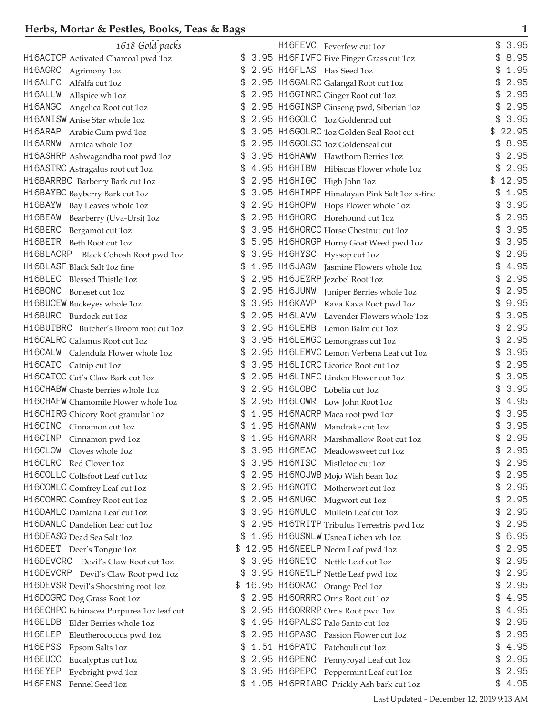| 1618 Gold packs                                                             | H16FEVC Feverfew cut 1oz                                                   | 3.95               |
|-----------------------------------------------------------------------------|----------------------------------------------------------------------------|--------------------|
| H16ACTCP Activated Charcoal pwd 1oz                                         | 3.95 H16F IVFC Five Finger Grass cut 1oz<br>\$.                            | 8.95<br>\$         |
| H16AGRC Agrimony 1oz                                                        | 2.95 H16FLAS Flax Seed 1oz                                                 | 1.95               |
| H16ALFC<br>Alfalfa cut 1oz                                                  | 2.95 H16GALRC Galangal Root cut 1oz<br>\$                                  | 2.95<br>\$         |
| H16ALLW Allspice wh 1oz                                                     | 2.95 H16GINRC Ginger Root cut 1oz                                          | 2.95               |
| H16ANGC Angelica Root cut 1oz                                               | \$<br>2.95 H16GINSP Ginseng pwd, Siberian 1oz                              | 2.95<br>\$         |
| H16ANISW Anise Star whole 1oz                                               | 2.95 H16GOLC 1oz Goldenrod cut                                             | 3.95               |
| H16ARAP Arabic Gum pwd 1oz                                                  | 3.95 H16GOLRC 1oz Golden Seal Root cut                                     | 22.95<br>\$        |
| H16ARNW Arnica whole 1oz                                                    | 2.95 H16GOLSC 1oz Goldenseal cut                                           | \$8.95             |
| H16ASHRP Ashwagandha root pwd 1oz                                           | 3.95 H16HAWW Hawthorn Berries 1oz                                          | 2.95<br>\$         |
| H16ASTRC Astragalus root cut 1oz                                            | 4.95 H16HIBW Hibiscus Flower whole 1oz                                     | 2.95<br>\$         |
| H16BARRBC Barberry Bark cut 1oz                                             | 2.95 H16HIGC High John 1oz                                                 | 12.95              |
| H16BAYBC Bayberry Bark cut 1oz                                              | \$<br>3.95 H16HIMPF Himalayan Pink Salt 1oz x-fine                         | 1.95<br>\$         |
| H16BAYW Bay Leaves whole 1oz                                                | 2.95 H16HOPW Hops Flower whole 1oz                                         | 3.95               |
| H16BEAW Bearberry (Uva-Ursi) 1oz                                            | 2.95 H16HORC Horehound cut 1oz                                             | 2.95               |
| H16BERC Bergamot cut 1oz                                                    | 3.95 H16HORCC Horse Chestnut cut 1oz                                       | 3.95               |
| H16BETR Beth Root cut 1oz                                                   | 5.95 H16HORGP Horny Goat Weed pwd 1oz<br>£.                                | 3.95<br>\$         |
| H16BLACRP Black Cohosh Root pwd 1oz                                         | \$<br>3.95 H16HYSC Hyssop cut 1oz                                          | 2.95<br>\$         |
| H16BLASF Black Salt 1oz fine                                                | \$<br>1.95 H16JASW Jasmine Flowers whole 1oz                               | 4.95<br>\$         |
| H16BLEC Blessed Thistle 1oz                                                 | 2.95 H16JEZRP Jezebel Root 1oz                                             | 2.95               |
| H16BONC Boneset cut 1oz                                                     | 2.95 H16JUNW Juniper Berries whole 1oz<br>\$                               | 2.95<br>\$.        |
| H16BUCEW Buckeyes whole 1oz                                                 | 3.95 H16KAVP Kava Kava Root pwd 1oz                                        | 9.95               |
| H16BURC Burdock cut 1oz                                                     | 2.95 H16LAVW Lavender Flowers whole 1oz                                    | 3.95               |
| H16BUTBRC Butcher's Broom root cut 1oz                                      | 2.95 H16LEMB Lemon Balm cut 1oz                                            | 2.95               |
| H16CALRC Calamus Root cut 1oz                                               | 3.95 H16LEMGC Lemongrass cut 1oz<br>\$                                     | 2.95<br>\$         |
| H16CALW Calendula Flower whole 1oz                                          | 2.95 H16LEMVC Lemon Verbena Leaf cut 1oz                                   | 3.95<br>\$         |
| H16CATC Catnip cut 1oz                                                      | 3.95 H16LICRC Licorice Root cut 1oz                                        | 2.95<br>\$         |
| H16CATCC Cat's Claw Bark cut 1oz                                            | 2.95 H16LINFC Linden Flower cut 1oz                                        | 3.95<br>\$         |
| H16CHABW Chaste berries whole 1oz                                           | 2.95 H16LOBC Lobelia cut 1oz                                               | 3.95               |
| H16CHAFW Chamomile Flower whole 1oz                                         | 2.95 H16LOWR Low John Root 1oz                                             | 4.95               |
| H16CHIRG Chicory Root granular 1oz                                          | 1.95 H16MACRP Maca root pwd 1oz                                            | 3.95               |
| H16CINC Cinnamon cut 1oz                                                    | 1.95 H16MANW Mandrake cut 1oz<br>\$                                        | \$<br>3.95         |
| H16CINP Cinnamon pwd 1oz                                                    | 1.95 H16MARR Marshmallow Root cut 1oz                                      | \$<br>2.95         |
| H16CLOW Cloves whole 1oz                                                    | 3.95 H16MEAC Meadowsweet cut 1oz                                           | \$<br>2.95         |
| H16CLRC Red Clover 1oz                                                      | 3.95 H16MISC Mistletoe cut 1oz                                             | 2.95               |
| H16COLLC Coltsfoot Leaf cut 1oz                                             | \$<br>2.95 H16MOJWB Mojo Wish Bean 1oz                                     | 2.95<br>\$         |
| H16COMLC Comfrey Leaf cut 1oz                                               | \$<br>2.95 H16MOTC Motherwort cut 1oz                                      | 2.95<br>\$         |
| H16COMRC Comfrey Root cut 1oz                                               | \$<br>2.95 H16MUGC<br>Mugwort cut 1oz                                      | \$<br>2.95         |
| H16DAMLC Damiana Leaf cut 1oz                                               | 3.95 H16MULC Mullein Leaf cut 1oz<br>\$                                    | \$<br>2.95         |
| H16DANLC Dandelion Leaf cut 1oz                                             | \$<br>2.95 H16TRITP Tribulus Terrestris pwd 1oz                            | 2.95<br>\$         |
| H16DEASG Dead Sea Salt 1oz                                                  | 1.95 H16USNLW Usnea Lichen wh 1oz                                          | 6.95<br>\$         |
| H16DEET Deer's Tongue 1oz                                                   | 12.95 H16NEELP Neem Leaf pwd 1oz                                           | 2.95               |
| H16DEVCRC Devil's Claw Root cut 1oz                                         | 3.95 H16NETC Nettle Leaf cut 1oz<br>\$                                     | 2.95<br>\$         |
| H16DEVCRP Devil's Claw Root pwd 1oz                                         | 3.95 H16NETLP Nettle Leaf pwd 1oz                                          | 2.95<br>\$         |
| H16DEVSR Devil's Shoestring root 1oz                                        | 16.95 H16ORAC Orange Peel 1oz<br>\$                                        | 2.95<br>\$         |
|                                                                             | 2.95 H160RRRC Orris Root cut 1oz                                           | \$<br>4.95         |
| H16DOGRC Dog Grass Root 1oz                                                 | £.                                                                         | \$<br>4.95         |
| H16ECHPC Echinacea Purpurea 1oz leaf cut<br>H16ELDB Elder Berries whole 1oz | 2.95 H160RRRP Orris Root pwd 1oz<br>\$<br>4.95 H16PALSC Palo Santo cut 1oz | \$<br>2.95         |
| H16ELEP                                                                     | 2.95 H16PASC Passion Flower cut 1oz                                        | 2.95<br>\$         |
| Eleutherococcus pwd 1oz<br>H16EPSS                                          | 1.51 H16PATC<br>\$                                                         |                    |
| Epsom Salts 1oz<br>H <sub>16EUCC</sub>                                      | Patchouli cut 1oz                                                          | \$<br>4.95<br>2.95 |
| Eucalyptus cut 1oz                                                          | \$<br>2.95 H16PENC Pennyroyal Leaf cut 1oz                                 | \$<br>2.95         |
| H16EYEP<br>Eyebright pwd 1oz                                                | \$<br>3.95 H16PEPC Peppermint Leaf cut 1oz                                 | \$                 |
| H16FENS<br>Fennel Seed 1oz                                                  | \$ 1.95 H16PRIABC Prickly Ash bark cut 1oz                                 | \$4.95             |

 $\overline{1}$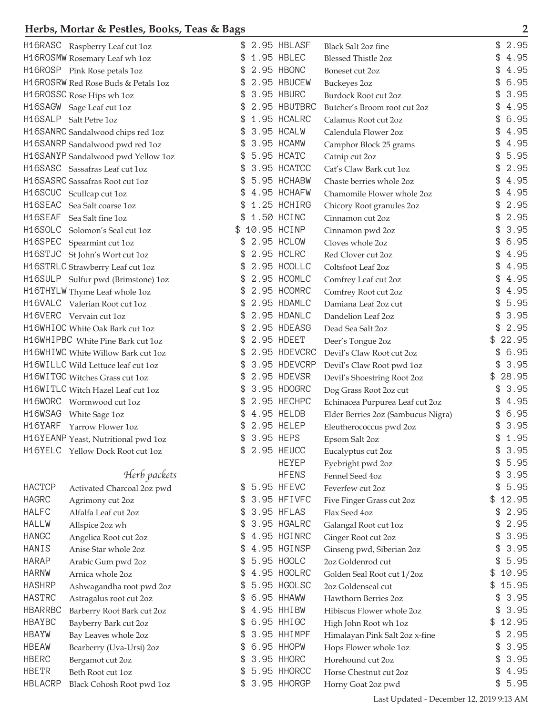|                | H16RASC Raspberry Leaf cut 1oz               |    | 2.95 HBLASF  | <b>Black Salt 2oz fine</b>         | \$<br>2.95  |
|----------------|----------------------------------------------|----|--------------|------------------------------------|-------------|
|                | H16R0SMW Rosemary Leaf wh 1oz                |    | 1.95 HBLEC   | <b>Blessed Thistle 2oz</b>         | 4.95        |
|                | H16R0SP Pink Rose petals 1oz                 | \$ | 2.95 HBONC   | Boneset cut 2oz                    | \$<br>4.95  |
|                | H16R0SRW Red Rose Buds & Petals 1oz          | \$ | 2.95 HBUCEW  | <b>Buckeyes 2oz</b>                | 6.95<br>\$  |
|                | H16R0SSC Rose Hips wh 1oz                    | \$ | 3.95 HBURC   | Burdock Root cut 2oz               | 3.95<br>\$  |
|                | H16SAGW Sage Leaf cut 1oz                    |    | 2.95 HBUTBRC | Butcher's Broom root cut 2oz       | \$<br>4.95  |
|                | H16SALP Salt Petre 1oz                       | \$ | 1.95 HCALRC  | Calamus Root cut 2oz               | \$<br>6.95  |
|                | H16SANRC Sandalwood chips red 1oz            |    | 3.95 HCALW   | Calendula Flower 2oz               | 4.95        |
|                | H16SANRP Sandalwood pwd red 1oz              |    | 3.95 HCAMW   | Camphor Block 25 grams             | 4.95        |
|                | H16SANYP Sandalwood pwd Yellow 1oz           | \$ | 5.95 HCATC   | Catnip cut 2oz                     | 5.95<br>\$  |
|                | H16SASC Sassafras Leaf cut 1oz               | \$ | 3.95 HCATCC  | Cat's Claw Bark cut 1oz            | 2.95<br>\$  |
|                | H16SASRC Sassafras Root cut 1oz              | \$ | 5.95 HCHABW  | Chaste berries whole 2oz           | 4.95<br>\$  |
| H16SCUC        | Scullcap cut 1oz                             |    | 4.95 HCHAFW  | Chamomile Flower whole 2oz         | 4.95        |
|                | H16SEAC Sea Salt coarse 1oz                  | \$ | 1.25 HCHIRG  | Chicory Root granules 2oz          | 2.95<br>\$  |
| H16SEAF        | Sea Salt fine 1oz                            |    | 1.50 HCINC   | Cinnamon cut 2oz                   | 2.95        |
| H16SOLC        | Solomon's Seal cut 1oz                       |    | 10.95 HCINP  | Cinnamon pwd 2oz                   | 3.95        |
| H16SPEC        | Spearmint cut 1oz                            |    | 2.95 HCLOW   | Cloves whole 2oz                   | 6.95        |
|                | H16STJC St John's Wort cut 1oz               | \$ | 2.95 HCLRC   | Red Clover cut 2oz                 | \$<br>4.95  |
|                | H16STRLC Strawberry Leaf cut 1oz             | \$ | 2.95 HCOLLC  | Coltsfoot Leaf 2oz                 | \$<br>4.95  |
|                | H16SULP Sulfur pwd (Brimstone) 1oz           | \$ | 2.95 HCOMLC  | Comfrey Leaf cut 2oz               | \$<br>4.95  |
|                | H16THYLW Thyme Leaf whole 1oz                |    | 2.95 HCOMRC  | Comfrey Root cut 2oz               | 4.95        |
|                | H16VALC Valerian Root cut 1oz                | \$ | 2.95 HDAMLC  | Damiana Leaf 2oz cut               | 5.95<br>\$  |
|                | H16VERC Vervain cut 1oz                      |    | 2.95 HDANLC  | Dandelion Leaf 2oz                 | 3.95        |
|                | H16WHIOC White Oak Bark cut 1oz              |    | 2.95 HDEASG  | Dead Sea Salt 2oz                  | 2.95<br>\$  |
|                | H16WHIPBC White Pine Bark cut 1oz            | \$ | 2.95 HDEET   | Deer's Tongue 2oz                  | 22.95       |
|                | H16WHIWC White Willow Bark cut 1oz           | \$ | 2.95 HDEVCRC | Devil's Claw Root cut 2oz          | 6.95<br>\$  |
|                | H16WILLC Wild Lettuce leaf cut 1oz           | \$ | 3.95 HDEVCRP | Devil's Claw Root pwd 1oz          | 3.95<br>\$  |
|                | H16WITGC Witches Grass cut 1oz               |    | 2.95 HDEVSR  | Devil's Shoestring Root 2oz        | 28.95       |
|                | H16WITLC Witch Hazel Leaf cut 1oz            | \$ | 3.95 HDOGRC  | Dog Grass Root 2oz cut             | 3.95        |
|                | H16WORC Wormwood cut 1oz                     |    | 2.95 HECHPC  | Echinacea Purpurea Leaf cut 2oz    | 4.95        |
| H16WSAG        | White Sage 1oz                               |    | 4.95 HELDB   | Elder Berries 2oz (Sambucus Nigra) | 6.95        |
|                | H16YARF Yarrow Flower 1oz                    |    | 2.95 HELEP   | Eleutherococcus pwd 2oz            | 3.95        |
|                | H16YEANP Yeast, Nutritional pwd 1oz          | \$ | 3.95 HEPS    | Epsom Salt 2oz                     | 1.95<br>\$  |
|                | H16YELC Yellow Dock Root cut 1oz             | \$ | 2.95 HEUCC   | Eucalyptus cut 2oz                 | \$<br>3.95  |
|                |                                              |    | <b>HEYEP</b> | Eyebright pwd 2oz                  | 5.95<br>\$  |
|                | Herb packets                                 |    | <b>HFENS</b> | Fennel Seed 4oz                    | 3.95<br>\$  |
| <b>HACTCP</b>  | Activated Charcoal 2oz pwd                   | \$ | 5.95 HFEVC   | Feverfew cut 2oz                   | 5.95<br>\$  |
| <b>HAGRC</b>   | Agrimony cut 2oz                             | \$ | 3.95 HFIVFC  | Five Finger Grass cut 2oz          | 12.95<br>\$ |
| <b>HALFC</b>   | Alfalfa Leaf cut 2oz                         | \$ | 3.95 HFLAS   | Flax Seed 4oz                      | \$<br>2.95  |
| <b>HALLW</b>   | Allspice 2oz wh                              | \$ | 3.95 HGALRC  | Galangal Root cut 1oz              | \$<br>2.95  |
| <b>HANGC</b>   | Angelica Root cut 2oz                        | \$ | 4.95 HGINRC  | Ginger Root cut 2oz                | \$<br>3.95  |
| HANIS          | Anise Star whole 2oz                         | 3  | 4.95 HGINSP  | Ginseng pwd, Siberian 2oz          | 3.95<br>\$  |
| <b>HARAP</b>   | Arabic Gum pwd 2oz                           | \$ | 5.95 HGOLC   | 2oz Goldenrod cut                  | 5.95<br>\$  |
| <b>HARNW</b>   | Arnica whole 2oz                             | £. | 4.95 HGOLRC  | Golden Seal Root cut 1/2oz         | 10.95<br>\$ |
| <b>HASHRP</b>  | Ashwagandha root pwd 2oz                     | \$ | 5.95 HGOLSC  | 2oz Goldenseal cut                 | 15.95<br>\$ |
| <b>HASTRC</b>  | Astragalus root cut 2oz                      | \$ | 6.95 HHAWW   | Hawthorn Berries 2oz               | 3.95<br>\$  |
| <b>HBARRBC</b> | Barberry Root Bark cut 2oz                   | \$ | 4.95 HHIBW   | Hibiscus Flower whole 2oz          | \$<br>3.95  |
| <b>HBAYBC</b>  | Bayberry Bark cut 2oz                        | £. | 6.95 HHIGC   | High John Root wh 1oz              | 12.95<br>\$ |
| <b>HBAYW</b>   | Bay Leaves whole 2oz                         |    | 3.95 HHIMPF  | Himalayan Pink Salt 2oz x-fine     | 2.95<br>\$  |
| <b>HBEAW</b>   |                                              | 3  | 6.95 HHOPW   | Hops Flower whole 1oz              | 3.95<br>\$  |
| <b>HBERC</b>   | Bearberry (Uva-Ursi) 2oz<br>Bergamot cut 2oz | \$ | 3.95 HHORC   | Horehound cut 2oz                  | 3.95<br>\$  |
| <b>HBETR</b>   | Beth Root cut 1oz                            | \$ | 5.95 HHORCC  | Horse Chestnut cut 2oz             | \$<br>4.95  |
| <b>HBLACRP</b> |                                              |    | 3.95 HHORGP  |                                    | 5.95<br>\$  |
|                | Black Cohosh Root pwd 1oz                    |    |              | Horny Goat 2oz pwd                 |             |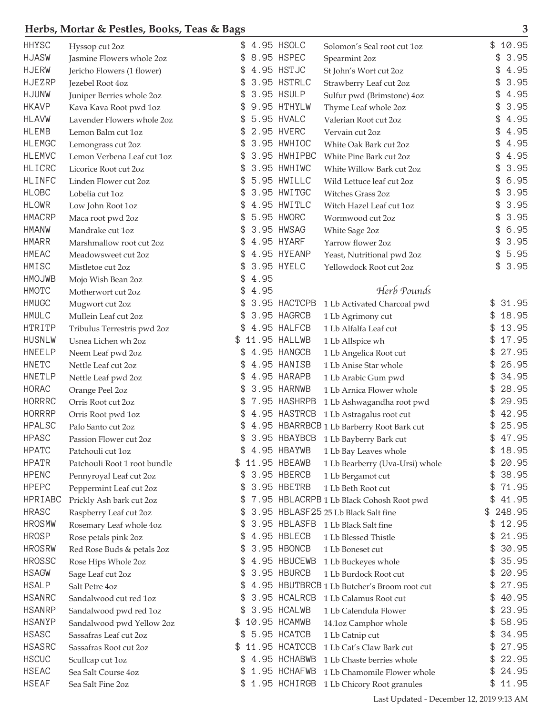## **Herbs, Mortar & Pestles, Books, Teas & Bags** 3<sup>3</sup>

| <b>HHYSC</b>                  | Hyssop cut 2oz                                    |      | 4.95 HSOLC                  | Solomon's Seal root cut 1oz                                          | \$<br>10.95          |
|-------------------------------|---------------------------------------------------|------|-----------------------------|----------------------------------------------------------------------|----------------------|
| <b>HJASW</b>                  | Jasmine Flowers whole 2oz                         |      | 8.95 HSPEC                  | Spearmint 2oz                                                        | 3.95                 |
| <b>HJERW</b>                  | Jericho Flowers (1 flower)                        | \$   | 4.95 HSTJC                  | St John's Wort cut 2oz                                               | 4.95                 |
| <b>HJEZRP</b>                 | Jezebel Root 4oz                                  | \$   | 3.95 HSTRLC                 | Strawberry Leaf cut 2oz                                              | 3.95<br>\$           |
| <b>HJUNW</b>                  | Juniper Berries whole 2oz                         |      | 3.95 HSULP                  | Sulfur pwd (Brimstone) 4oz                                           | 4.95                 |
| <b>HKAVP</b>                  | Kava Kava Root pwd 1oz                            |      | 9.95 HTHYLW                 | Thyme Leaf whole 2oz                                                 | 3.95                 |
| <b>HLAVW</b>                  | Lavender Flowers whole 2oz                        |      | 5.95 HVALC                  | Valerian Root cut 2oz                                                | 4.95                 |
| <b>HLEMB</b>                  | Lemon Balm cut 1oz                                |      | 2.95 HVERC                  | Vervain cut 2oz                                                      | 4.95                 |
| <b>HLEMGC</b>                 | Lemongrass cut 2oz                                |      | 3.95 HWHIOC                 | White Oak Bark cut 2oz                                               | 4.95                 |
| <b>HLEMVC</b>                 | Lemon Verbena Leaf cut 1oz                        |      | 3.95 HWHIPBC                | White Pine Bark cut 2oz                                              | 4.95                 |
| <b>HLICRC</b>                 | Licorice Root cut 2oz                             | \$   | 3.95 HWHIWC                 | White Willow Bark cut 2oz                                            | 3.95<br>\$           |
| <b>HLINFC</b>                 | Linden Flower cut 2oz                             |      | 5.95 HWILLC                 | Wild Lettuce leaf cut 2oz                                            | 6.95                 |
| <b>HLOBC</b>                  | Lobelia cut 1oz                                   |      | 3.95 HWITGC                 | Witches Grass 2oz                                                    | 3.95                 |
| <b>HLOWR</b>                  | Low John Root 1oz                                 |      | 4.95 HWITLC                 | Witch Hazel Leaf cut 1oz                                             | 3.95                 |
| <b>HMACRP</b>                 | Maca root pwd 2oz                                 |      | 5.95 HWORC                  | Wormwood cut 2oz                                                     | 3.95                 |
| <b>HMANW</b>                  | Mandrake cut 1oz                                  |      | 3.95 HWSAG                  | White Sage 2oz                                                       | 6.95                 |
| <b>HMARR</b>                  | Marshmallow root cut 2oz                          | SБ.  | 4.95 HYARF                  | Yarrow flower 2oz                                                    | 3.95<br>\$           |
| <b>HMEAC</b>                  | Meadowsweet cut 2oz                               |      | 4.95 HYEANP                 | Yeast, Nutritional pwd 2oz                                           | 5.95<br>\$           |
| HMISC                         | Mistletoe cut 2oz                                 |      | 3.95 HYELC                  | Yellowdock Root cut 2oz                                              | 3.95<br>\$           |
| <b>HMOJWB</b>                 | Mojo Wish Bean 2oz                                | 4.95 |                             |                                                                      |                      |
| <b>HMOTC</b>                  | Motherwort cut 2oz                                | 4.95 |                             | Herb Pounds                                                          |                      |
| <b>HMUGC</b>                  | Mugwort cut 2oz                                   |      | 3.95 HACTCPB                | 1 Lb Activated Charcoal pwd                                          | 31.95<br>\$          |
| <b>HMULC</b>                  | Mullein Leaf cut 2oz                              |      | 3.95 HAGRCB                 | 1 Lb Agrimony cut                                                    | 18.95<br>\$          |
| <b>HTRITP</b>                 | Tribulus Terrestris pwd 2oz                       |      | 4.95 HALFCB                 | 1 Lb Alfalfa Leaf cut                                                | 13.95<br>\$          |
| <b>HUSNLW</b>                 | Usnea Lichen wh 2oz                               | \$   | 11.95 HALLWB                | 1 Lb Allspice wh                                                     | 17.95<br>\$          |
| <b>HNEELP</b>                 | Neem Leaf pwd 2oz                                 | £.   | 4.95 HANGCB                 | 1 Lb Angelica Root cut                                               | 27.95<br>\$          |
| <b>HNETC</b>                  | Nettle Leaf cut 2oz                               |      | 4.95 HANISB                 | 1 Lb Anise Star whole                                                | \$<br>26.95          |
| <b>HNETLP</b>                 | Nettle Leaf pwd 2oz                               |      | 4.95 HARAPB                 | 1 Lb Arabic Gum pwd                                                  | \$<br>34.95          |
| <b>HORAC</b>                  | Orange Peel 2oz                                   |      | 3.95 HARNWB                 | 1 Lb Arnica Flower whole                                             | 28.95<br>\$          |
| <b>HORRRC</b>                 | Orris Root cut 2oz                                |      | 7.95 HASHRPB                | 1 Lb Ashwagandha root pwd                                            | 29.95<br>\$          |
| <b>HORRRP</b>                 | Orris Root pwd 1oz                                |      | 4.95 HASTRCB                | 1 Lb Astragalus root cut                                             | 42.95<br>\$          |
| <b>HPALSC</b>                 | Palo Santo cut 2oz                                | SБ.  |                             | 4.95 HBARRBCB 1 Lb Barberry Root Bark cut                            | 25.95<br>\$          |
| <b>HPASC</b>                  | Passion Flower cut 2oz                            |      | 3.95 HBAYBCB                | 1 Lb Bayberry Bark cut                                               | 47.95<br>\$          |
| <b>HPATC</b>                  | Patchouli cut 1oz                                 | \$   | 4.95 HBAYWB                 | 1 Lb Bay Leaves whole                                                | \$<br>18.95          |
| <b>HPATR</b>                  | Patchouli Root 1 root bundle                      |      | 11.95 HBEAWB                | 1 Lb Bearberry (Uva-Ursi) whole                                      | 20.95<br>\$          |
| <b>HPENC</b>                  | Pennyroyal Leaf cut 2oz                           | \$.  | 3.95 HBERCB                 | 1 Lb Bergamot cut                                                    | 38.95<br>\$          |
| <b>HPEPC</b>                  | Peppermint Leaf cut 2oz                           | \$   | 3.95 HBETRB                 | 1 Lb Beth Root cut                                                   | 71.95<br>\$          |
| HPRIABC                       | Prickly Ash bark cut 2oz                          | \$   |                             | 7.95 HBLACRPB 1 Lb Black Cohosh Root pwd                             | 41.95<br>\$          |
| <b>HRASC</b>                  |                                                   | \$   |                             | 3.95 HBLASF25 25 Lb Black Salt fine                                  | 248.95<br>\$         |
| <b>HROSMW</b>                 | Raspberry Leaf cut 2oz<br>Rosemary Leaf whole 4oz | \$.  | 3.95 HBLASFB                | 1 Lb Black Salt fine                                                 | 12.95<br>\$          |
| <b>HROSP</b>                  |                                                   | P.   | 4.95 HBLECB                 | 1 Lb Blessed Thistle                                                 | \$<br>21.95          |
| <b>HROSRW</b>                 | Rose petals pink 2oz                              |      | 3.95 HBONCB                 | 1 Lb Boneset cut                                                     | 30.95<br>\$          |
| <b>HROSSC</b>                 | Red Rose Buds & petals 2oz                        | P.   | 4.95 HBUCEWB                |                                                                      | 35.95<br>\$          |
| <b>HSAGW</b>                  | Rose Hips Whole 2oz                               | \$   | 3.95 HBURCB                 | 1 Lb Buckeyes whole                                                  | 20.95<br>\$          |
| <b>HSALP</b>                  | Sage Leaf cut 2oz                                 | \$   |                             | 1 Lb Burdock Root cut<br>4.95 HBUTBRCB 1 Lb Butcher's Broom root cut | 27.95<br>\$          |
| <b>HSANRC</b>                 | Salt Petre 4oz                                    |      | 3.95 HCALRCB                |                                                                      | 40.95<br>\$          |
| <b>HSANRP</b>                 | Sandalwood cut red 1oz                            |      | 3.95 HCALWB                 | 1 Lb Calamus Root cut                                                | 23.95                |
|                               | Sandalwood pwd red 1oz                            |      |                             | 1 Lb Calendula Flower                                                | \$                   |
| <b>HSANYP</b><br><b>HSASC</b> | Sandalwood pwd Yellow 2oz                         | £.   | 10.95 HCAMWB<br>5.95 HCATCB | 14.1oz Camphor whole                                                 | 58.95<br>\$<br>34.95 |
|                               | Sassafras Leaf cut 2oz                            |      |                             | 1 Lb Catnip cut                                                      | \$                   |
| <b>HSASRC</b>                 | Sassafras Root cut 2oz                            |      | 11.95 HCATCCB               | 1 Lb Cat's Claw Bark cut                                             | 27.95<br>\$          |
| <b>HSCUC</b>                  | Scullcap cut 1oz                                  | \$.  | 4.95 HCHABWB                | 1 Lb Chaste berries whole                                            | 22.95<br>\$          |
| <b>HSEAC</b>                  | Sea Salt Course 4oz                               | \$   | 1.95 HCHAFWB                | 1 Lb Chamomile Flower whole                                          | 24.95<br>\$          |
| <b>HSEAF</b>                  | Sea Salt Fine 2oz                                 |      | 1.95 HCHIRGB                | 1 Lb Chicory Root granules                                           | 11.95<br>\$          |

Last Updated - December 12, 2019 9:13 AM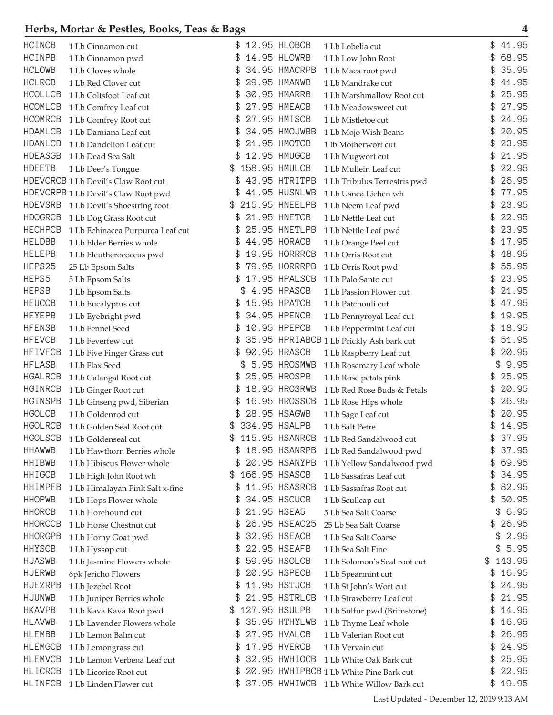| <b>HCINCB</b>  | 1 Lb Cinnamon cut                   |    | 12.95 HLOBCB   | 1 Lb Lobelia cut                         | \$<br>41.95  |
|----------------|-------------------------------------|----|----------------|------------------------------------------|--------------|
| <b>HCINPB</b>  | 1 Lb Cinnamon pwd                   |    | 14.95 HLOWRB   | 1 Lb Low John Root                       | 68.95        |
| <b>HCLOWB</b>  | 1 Lb Cloves whole                   |    | 34.95 HMACRPB  | 1 Lb Maca root pwd                       | 35.95        |
| <b>HCLRCB</b>  | 1 Lb Red Clover cut                 |    | 29.95 HMANWB   | 1 Lb Mandrake cut                        | 41.95        |
| <b>HCOLLCB</b> | 1 Lb Coltsfoot Leaf cut             |    | 30.95 HMARRB   | 1 Lb Marshmallow Root cut                | 25.95        |
| <b>HCOMLCB</b> | 1 Lb Comfrey Leaf cut               |    | 27.95 HMEACB   | 1 Lb Meadowsweet cut                     | 27.95        |
| <b>HCOMRCB</b> | 1 Lb Comfrey Root cut               |    | 27.95 HMISCB   | 1 Lb Mistletoe cut                       | 24.95        |
| <b>HDAMLCB</b> | 1 Lb Damiana Leaf cut               |    | 34.95 HMOJWBB  | 1 Lb Mojo Wish Beans                     | 20.95        |
| <b>HDANLCB</b> | 1 Lb Dandelion Leaf cut             |    | 21.95 HMOTCB   | 1 lb Motherwort cut                      | \$<br>23.95  |
| <b>HDEASGB</b> | 1 Lb Dead Sea Salt                  |    | 12.95 HMUGCB   | 1 Lb Mugwort cut                         | 21.95        |
| <b>HDEETB</b>  | 1 Lb Deer's Tongue                  | \$ | 158.95 HMULCB  | 1 Lb Mullein Leaf cut                    | 22.95        |
|                | HDEVCRCB 1 Lb Devil's Claw Root cut |    | 43.95 HTRITPB  | 1 Lb Tribulus Terrestris pwd             | 26.95        |
|                | HDEVCRPB 1 Lb Devil's Claw Root pwd |    | 41.95 HUSNLWB  | 1 Lb Usnea Lichen wh                     | 77.95        |
| <b>HDEVSRB</b> | 1 Lb Devil's Shoestring root        |    | 215.95 HNEELPB | 1 Lb Neem Leaf pwd                       | 23.95        |
| <b>HDOGRCB</b> | 1 Lb Dog Grass Root cut             |    | 21.95 HNETCB   | 1 Lb Nettle Leaf cut                     | 22.95        |
| <b>HECHPCB</b> | 1 Lb Echinacea Purpurea Leaf cut    |    | 25.95 HNETLPB  | 1 Lb Nettle Leaf pwd                     | 23.95        |
| <b>HELDBB</b>  | 1 Lb Elder Berries whole            | \$ | 44.95 HORACB   | 1 Lb Orange Peel cut                     | 17.95        |
| <b>HELEPB</b>  | 1 Lb Eleutherococcus pwd            |    | 19.95 HORRRCB  | 1 Lb Orris Root cut                      | \$<br>48.95  |
| HEPS25         | 25 Lb Epsom Salts                   |    | 79.95 HORRRPB  | 1 Lb Orris Root pwd                      | 55.95        |
| HEPS5          | 5 Lb Epsom Salts                    |    | 17.95 HPALSCB  | 1 Lb Palo Santo cut                      | 23.95        |
| <b>HEPSB</b>   | 1 Lb Epsom Salts                    |    | 4.95 HPASCB    | 1 Lb Passion Flower cut                  | 21.95        |
| <b>HEUCCB</b>  | 1 Lb Eucalyptus cut                 |    | 15.95 HPATCB   | 1 Lb Patchouli cut                       | 47.95        |
| <b>HEYEPB</b>  | 1 Lb Eyebright pwd                  |    | 34.95 HPENCB   | 1 Lb Pennyroyal Leaf cut                 | 19.95        |
| <b>HFENSB</b>  | 1 Lb Fennel Seed                    | \$ | 10.95 HPEPCB   | 1 Lb Peppermint Leaf cut                 | \$<br>18.95  |
| <b>HFEVCB</b>  | 1 Lb Feverfew cut                   |    |                | 35.95 HPRIABCB 1 Lb Prickly Ash bark cut | \$<br>51.95  |
| <b>HFIVFCB</b> | 1 Lb Five Finger Grass cut          | \$ | 90.95 HRASCB   | 1 Lb Raspberry Leaf cut                  | \$<br>20.95  |
| <b>HFLASB</b>  | 1 Lb Flax Seed                      |    | 5.95 HROSMWB   | 1 Lb Rosemary Leaf whole                 | 9.95         |
| <b>HGALRCB</b> | 1 Lb Galangal Root cut              |    | 25.95 HROSPB   | 1 Lb Rose petals pink                    | 25.95        |
| HGINRCB        | 1 Lb Ginger Root cut                |    | 18.95 HROSRWB  | 1 Lb Red Rose Buds & Petals              | 20.95        |
| <b>HGINSPB</b> | 1 Lb Ginseng pwd, Siberian          |    | 16.95 HROSSCB  | 1 Lb Rose Hips whole                     | 26.95        |
| <b>HGOLCB</b>  | 1 Lb Goldenrod cut                  |    | 28.95 HSAGWB   | 1 Lb Sage Leaf cut                       | \$<br>20.95  |
| <b>HGOLRCB</b> | 1 Lb Golden Seal Root cut           |    | 334.95 HSALPB  | 1 Lb Salt Petre                          | 14.95        |
| <b>HGOLSCB</b> | 1 Lb Goldenseal cut                 | \$ | 115.95 HSANRCB | 1 Lb Red Sandalwood cut                  | \$<br>37.95  |
| <b>HHAWWB</b>  | 1 Lb Hawthorn Berries whole         |    | 18.95 HSANRPB  | 1 Lb Red Sandalwood pwd                  | 37.95        |
| <b>HHIBWB</b>  | 1 Lb Hibiscus Flower whole          |    | 20.95 HSANYPB  | 1 Lb Yellow Sandalwood pwd               | \$<br>69.95  |
| <b>HHIGCB</b>  | 1 Lb High John Root wh              | \$ | 166.95 HSASCB  | 1 Lb Sassafras Leaf cut                  | \$<br>34.95  |
| <b>HHIMPFB</b> | 1 Lb Himalayan Pink Salt x-fine     | \$ | 11.95 HSASRCB  | 1 Lb Sassafras Root cut                  | \$<br>82.95  |
| <b>HHOPWB</b>  | 1 Lb Hops Flower whole              |    | 34.95 HSCUCB   | 1 Lb Scullcap cut                        | \$<br>50.95  |
| <b>HHORCB</b>  | 1 Lb Horehound cut                  | \$ | 21.95 HSEA5    | 5 Lb Sea Salt Coarse                     | 6.95<br>\$   |
| <b>HHORCCB</b> | 1 Lb Horse Chestnut cut             |    | 26.95 HSEAC25  | 25 Lb Sea Salt Coarse                    | \$<br>26.95  |
| <b>HHORGPB</b> | 1 Lb Horny Goat pwd                 |    | 32.95 HSEACB   | 1 Lb Sea Salt Coarse                     | 2.95<br>\$   |
| <b>HHYSCB</b>  | 1 Lb Hyssop cut                     |    | 22.95 HSEAFB   | 1 Lb Sea Salt Fine                       | \$<br>5.95   |
| <b>HJASWB</b>  | 1 Lb Jasmine Flowers whole          | \$ | 59.95 HSOLCB   | 1 Lb Solomon's Seal root cut             | \$<br>143.95 |
| <b>HJERWB</b>  | 6pk Jericho Flowers                 |    | 20.95 HSPECB   | 1 Lb Spearmint cut                       | \$<br>16.95  |
| <b>HJEZRPB</b> | 1 Lb Jezebel Root                   | \$ | 11.95 HSTJCB   | 1 Lb St John's Wort cut                  | \$<br>24.95  |
| <b>HJUNWB</b>  | 1 Lb Juniper Berries whole          |    | 21.95 HSTRLCB  | 1 Lb Strawberry Leaf cut                 | \$<br>21.95  |
| <b>HKAVPB</b>  | 1 Lb Kava Kava Root pwd             | S  | 127.95 HSULPB  | 1 Lb Sulfur pwd (Brimstone)              | \$<br>14.95  |
| <b>HLAVWB</b>  | 1 Lb Lavender Flowers whole         |    | 35.95 HTHYLWB  | 1 Lb Thyme Leaf whole                    | \$<br>16.95  |
| <b>HLEMBB</b>  | 1 Lb Lemon Balm cut                 |    | 27.95 HVALCB   | 1 Lb Valerian Root cut                   | \$<br>26.95  |
| <b>HLEMGCB</b> | 1 Lb Lemongrass cut                 | \$ | 17.95 HVERCB   | 1 Lb Vervain cut                         | \$<br>24.95  |
| <b>HLEMVCB</b> | 1 Lb Lemon Verbena Leaf cut         | \$ | 32.95 HWHIOCB  | 1 Lb White Oak Bark cut                  | \$<br>25.95  |
| <b>HLICRCB</b> | 1 Lb Licorice Root cut              | \$ |                | 20.95 HWHIPBCB 1 Lb White Pine Bark cut  | \$<br>22.95  |
| <b>HLINFCB</b> | 1 Lb Linden Flower cut              |    | 37.95 HWHIWCB  | 1 Lb White Willow Bark cut               | \$<br>19.95  |
|                |                                     |    |                |                                          |              |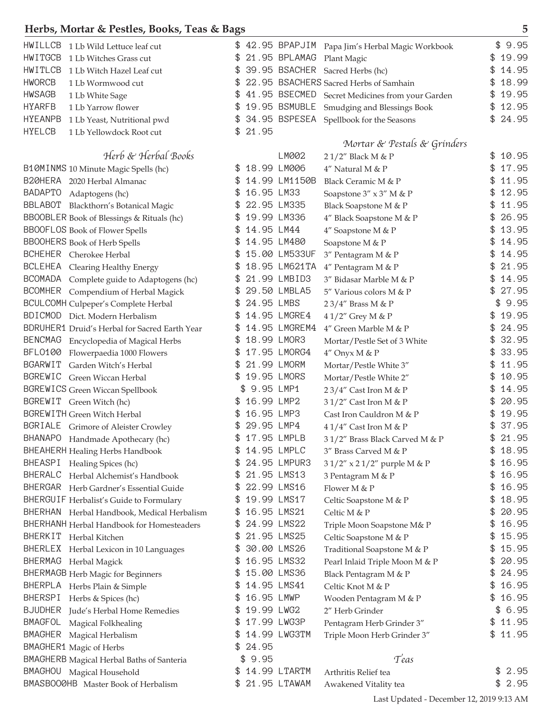| HWILLCB<br>1 Lb Wild Lettuce leaf cut                      | \$                  | 42.95 BPAPJIM Papa Jim's Herbal Magic Workbook  | 9.95<br>\$   |
|------------------------------------------------------------|---------------------|-------------------------------------------------|--------------|
| <b>HWITGCB</b><br>1 Lb Witches Grass cut                   | 21.95 BPLAMAG       | Plant Magic                                     | 19.99        |
| HWITLCB<br>1 Lb Witch Hazel Leaf cut                       | \$                  | 39.95 BSACHER Sacred Herbs (hc)                 | 14.95<br>\$  |
| <b>HWORCB</b><br>1 Lb Wormwood cut                         |                     | 22.95 BSACHERS Sacred Herbs of Samhain          | 18.99        |
| <b>HWSAGB</b><br>1 Lb White Sage                           | \$                  | 41.95 BSECMED Secret Medicines from your Garden | 19.95        |
| <b>HYARFB</b><br>1 Lb Yarrow flower                        | 19.95 BSMUBLE       | Smudging and Blessings Book                     | 12.95        |
| <b>HYEANPB</b><br>1 Lb Yeast, Nutritional pwd              | 34.95 BSPESEA<br>S  | Spellbook for the Seasons                       | 24.95<br>\$  |
| <b>HYELCB</b><br>1 Lb Yellowdock Root cut                  | 21.95               |                                                 |              |
|                                                            |                     | Mortar & Pestals & Grinders                     |              |
| Herb & Herbal Books                                        | LM002               | 21/2" Black M & P                               | 10.95        |
| B10MINMS 10 Minute Magic Spells (hc)                       | 18.99 LM006<br>\$   | 4" Natural M & P                                | 17.95        |
| B20HERA 2020 Herbal Almanac                                | 14.99 LM1150B       | Black Ceramic M & P                             | 11.95        |
| <b>BADAPTO</b><br>Adaptogens (hc)                          | 16.95 LM33          | Soapstone 3" x 3" M & P                         | 12.95        |
| BBLABOT Blackthorn's Botanical Magic                       | 22.95 LM335         | Black Soapstone M & P                           | 11.95        |
| BBOOBLER Book of Blessings & Rituals (hc)                  | 19.99 LM336         | 4" Black Soapstone M & P                        | 26.95        |
| <b>BBOOFLOS</b> Book of Flower Spells                      | 14.95 LM44          | 4" Soapstone M & P                              | 13.95<br>\$  |
| <b>BBOOHERS</b> Book of Herb Spells                        | 14.95 LM480         | Soapstone M & P                                 | 14.95        |
| BCHEHER Cherokee Herbal                                    | 15.00 LM533UF       | 3" Pentagram M & P                              | 14.95<br>\$  |
| BCLEHEA Clearing Healthy Energy                            | 18.95 LM621TA       | 4" Pentagram M & P                              | 21.95        |
| BCOMADA Complete guide to Adaptogens (hc)                  | 21.99 LMBID3        | 3" Bidasar Marble M & P                         | 14.95<br>\$. |
| BCOMHER Compendium of Herbal Magick                        | 29.50 LMBLA5        | 5" Various colors M & P                         | 27.95        |
| <b>BCULCOMH Culpeper's Complete Herbal</b>                 | 24.95 LMBS          | 23/4" Brass M & P                               | 9.95<br>\$   |
| BDICMOD Dict. Modern Herbalism                             | 14.95 LMGRE4        | 41/2" Grey M & P                                | 19.95        |
| BDRUHER1 Druid's Herbal for Sacred Earth Year              | 14.95 LMGREM4<br>S  | $4''$ Green Marble M & P                        | 24.95<br>\$  |
| BENCMAG Encyclopedia of Magical Herbs                      | 18.99 LMOR3         |                                                 | 32.95<br>\$  |
| <b>BFL0100</b>                                             | 17.95 LMORG4        | Mortar/Pestle Set of 3 White                    | 33.95        |
| Flowerpaedia 1000 Flowers<br>BGARWIT Garden Witch's Herbal | 21.99 LMORM         | 4" Onyx M & P                                   | 11.95<br>\$  |
| BGREWIC Green Wiccan Herbal                                | 19.95 LMORS         | Mortar/Pestle White 3"                          | 10.95        |
|                                                            | 9.95 LMP1           | Mortar/Pestle White 2"                          | 14.95        |
| BGREWICS Green Wiccan Spellbook                            | 16.99 LMP2          | 2 3/4" Cast Iron M & P                          | 20.95        |
| BGREWIT Green Witch (hc)                                   |                     | 3 1/2" Cast Iron M & P                          | 19.95        |
| BGREWITH Green Witch Herbal                                | 16.95 LMP3          | Cast Iron Cauldron M & P                        | \$           |
| BGRIALE Grimore of Aleister Crowley                        | 29.95 LMP4          | 4 1/4" Cast Iron M & P                          | 37.95        |
| BHANAPO Handmade Apothecary (hc)                           | 17.95 LMPLB<br>\$   | 31/2" Brass Black Carved M & P                  | 21.95<br>\$  |
| BHEAHERH Healing Herbs Handbook                            | 14.95 LMPLC         | 3" Brass Carved M & P                           | 18.95        |
| BHEASPI Healing Spices (hc)                                | 24.95 LMPUR3<br>\$. | 3 1/2" x 2 1/2" purple M & P                    | 16.95<br>\$  |
| BHERALC Herbal Alchemist's Handbook                        | 21.95 LMS13         | 3 Pentagram M & P                               | 16.95<br>\$  |
| BHERGAR Herb Gardner's Essential Guide                     | 22.99 LMS16<br>\$   | Flower M & P                                    | 16.95<br>\$  |
| BHERGUIF Herbalist's Guide to Formulary                    | 19.99 LMS17         | Celtic Soapstone M & P                          | 18.95<br>\$  |
| BHERHAN Herbal Handbook, Medical Herbalism                 | 16.95 LMS21<br>S    | Celtic M & P                                    | 20.95<br>\$  |
| BHERHANH Herbal Handbook for Homesteaders                  | 24.99 LMS22         | Triple Moon Soapstone M& P                      | 16.95<br>\$  |
| BHERKIT Herbal Kitchen                                     | 21.95 LMS25<br>\$   | Celtic Soapstone M & P                          | 15.95<br>\$  |
| BHERLEX Herbal Lexicon in 10 Languages                     | 30.00 LMS26         | Traditional Soapstone M & P                     | 15.95<br>\$  |
| BHERMAG Herbal Magick                                      | 16.95 LMS32<br>\$   | Pearl Inlaid Triple Moon M & P                  | 20.95<br>\$  |
| <b>BHERMAGB</b> Herb Magic for Beginners                   | 15.00 LMS36<br>\$   | Black Pentagram M & P                           | 24.95<br>\$  |
| BHERPLA Herbs Plain & Simple                               | 14.95 LMS41         | Celtic Knot M & P                               | 16.95<br>\$  |
| BHERSPI<br>Herbs & Spices (hc)                             | 16.95 LMWP<br>S     | Wooden Pentagram M & P                          | 16.95<br>\$  |
| BJUDHER Jude's Herbal Home Remedies                        | 19.99 LWG2          | 2" Herb Grinder                                 | 6.95<br>\$   |
| <b>BMAGFOL</b><br>Magical Folkhealing                      | 17.99 LWG3P         | Pentagram Herb Grinder 3"                       | \$11.95      |
| <b>BMAGHER</b><br>Magical Herbalism                        | 14.99 LWG3TM        | Triple Moon Herb Grinder 3"                     | \$11.95      |
| BMAGHER1 Magic of Herbs                                    | 24.95<br>S          |                                                 |              |
| BMAGHERB Magical Herbal Baths of Santeria                  | \$9.95              | Teas                                            |              |
| BMAGHOU<br>Magical Household                               | 14.99 LTARTM<br>\$  | Arthritis Relief tea                            | 2.95<br>\$   |
| BMASBOOØHB Master Book of Herbalism                        | 21.95 LTAWAM        | Awakened Vitality tea                           | \$<br>2.95   |

Last Updated - December 12, 2019 9:13 AM